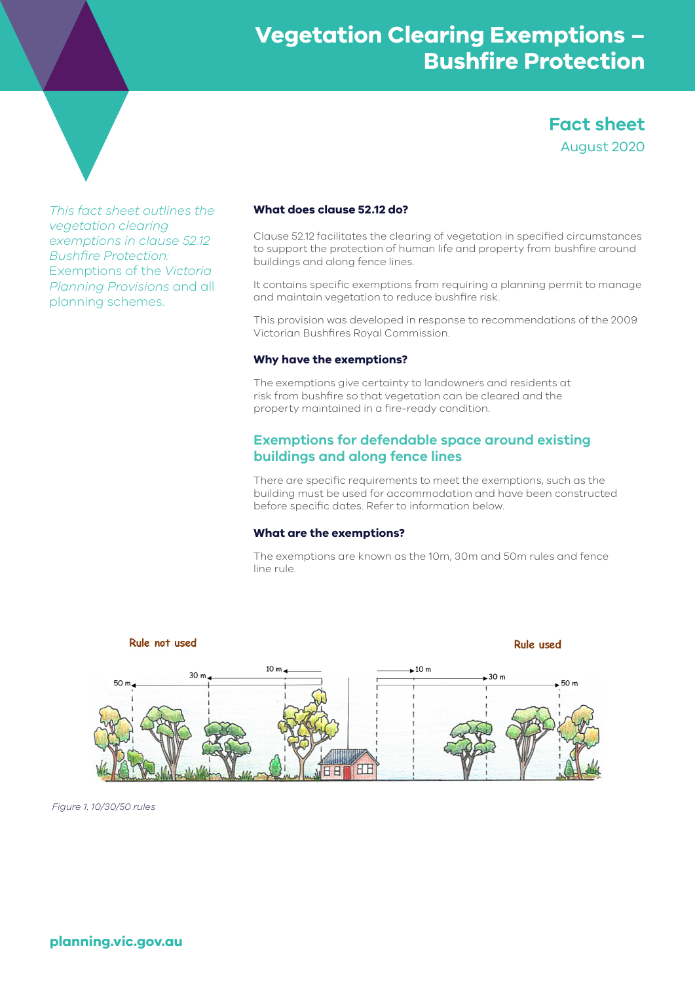**Fact sheet** August 2020

*This fact sheet outlines the vegetation clearing exemptions in clause 52.12 Bushfire Protection:*  Exemptions of the *Victoria Planning Provisions* and all planning schemes.

# **What does clause 52.12 do?**

Clause 52.12 facilitates the clearing of vegetation in specified circumstances to support the protection of human life and property from bushfire around buildings and along fence lines.

It contains specific exemptions from requiring a planning permit to manage and maintain vegetation to reduce bushfire risk.

This provision was developed in response to recommendations of the 2009 Victorian Bushfires Royal Commission.

#### **Why have the exemptions?**

The exemptions give certainty to landowners and residents at risk from bushfire so that vegetation can be cleared and the property maintained in a fire-ready condition.

# **Exemptions for defendable space around existing buildings and along fence lines**

There are specific requirements to meet the exemptions, such as the building must be used for accommodation and have been constructed before specific dates. Refer to information below.

#### **What are the exemptions?**

The exemptions are known as the 10m, 30m and 50m rules and fence line rule.



*Figure 1. 10/30/50 rules*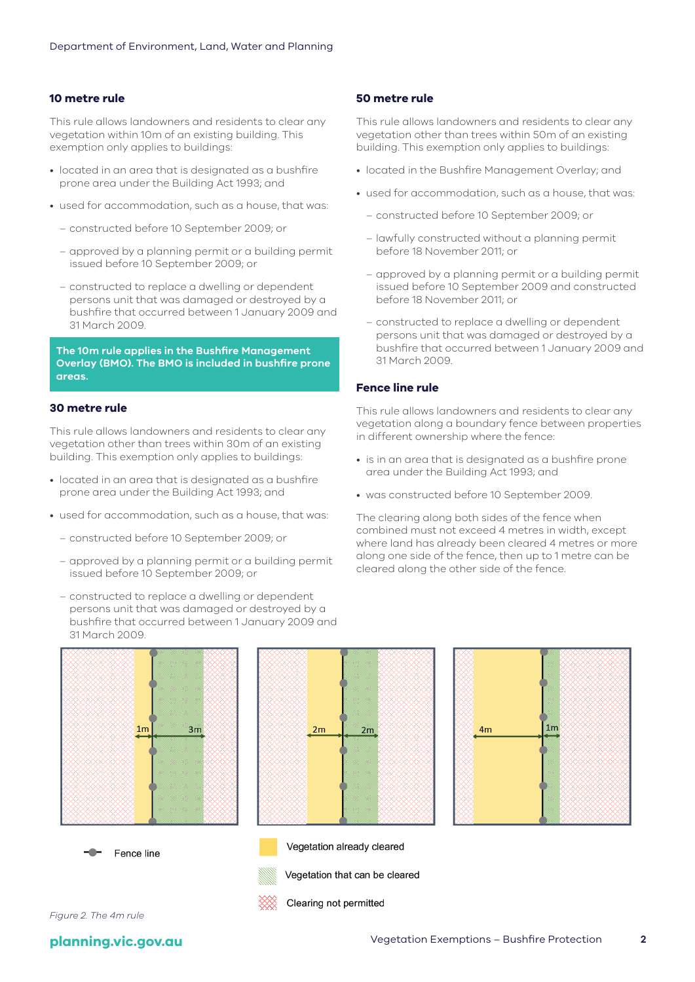#### **10 metre rule**

This rule allows landowners and residents to clear any vegetation within 10m of an existing building. This exemption only applies to buildings:

- located in an area that is designated as a bushfire prone area under the Building Act 1993; and
- used for accommodation, such as a house, that was:
	- constructed before 10 September 2009; or
	- approved by a planning permit or a building permit issued before 10 September 2009; or
	- constructed to replace a dwelling or dependent persons unit that was damaged or destroyed by a bushfire that occurred between 1 January 2009 and 31 March 2009.

**The 10m rule applies in the Bushfire Management Overlay (BMO). The BMO is included in bushfire prone areas.** 

#### **30 metre rule**

This rule allows landowners and residents to clear any vegetation other than trees within 30m of an existing building. This exemption only applies to buildings:

- located in an area that is designated as a bushfire prone area under the Building Act 1993; and
- used for accommodation, such as a house, that was:
	- constructed before 10 September 2009; or
	- approved by a planning permit or a building permit issued before 10 September 2009; or
	- constructed to replace a dwelling or dependent persons unit that was damaged or destroyed by a bushfire that occurred between 1 January 2009 and 31 March 2009.









Vegetation already cleared Vegetation that can be cleared



Clearing not permitted

*Figure 2. The 4m rule*

# **50 metre rule**

This rule allows landowners and residents to clear any vegetation other than trees within 50m of an existing building. This exemption only applies to buildings:

- located in the Bushfire Management Overlay; and
- used for accommodation, such as a house, that was:
	- constructed before 10 September 2009; or
	- lawfully constructed without a planning permit before 18 November 2011; or
	- approved by a planning permit or a building permit issued before 10 September 2009 and constructed before 18 November 2011; or
	- constructed to replace a dwelling or dependent persons unit that was damaged or destroyed by a bushfire that occurred between 1 January 2009 and 31 March 2009.

#### **Fence line rule**

This rule allows landowners and residents to clear any vegetation along a boundary fence between properties in different ownership where the fence:

- is in an area that is designated as a bushfire prone area under the Building Act 1993; and
- was constructed before 10 September 2009.

The clearing along both sides of the fence when combined must not exceed 4 metres in width, except where land has already been cleared 4 metres or more along one side of the fence, then up to 1 metre can be cleared along the other side of the fence.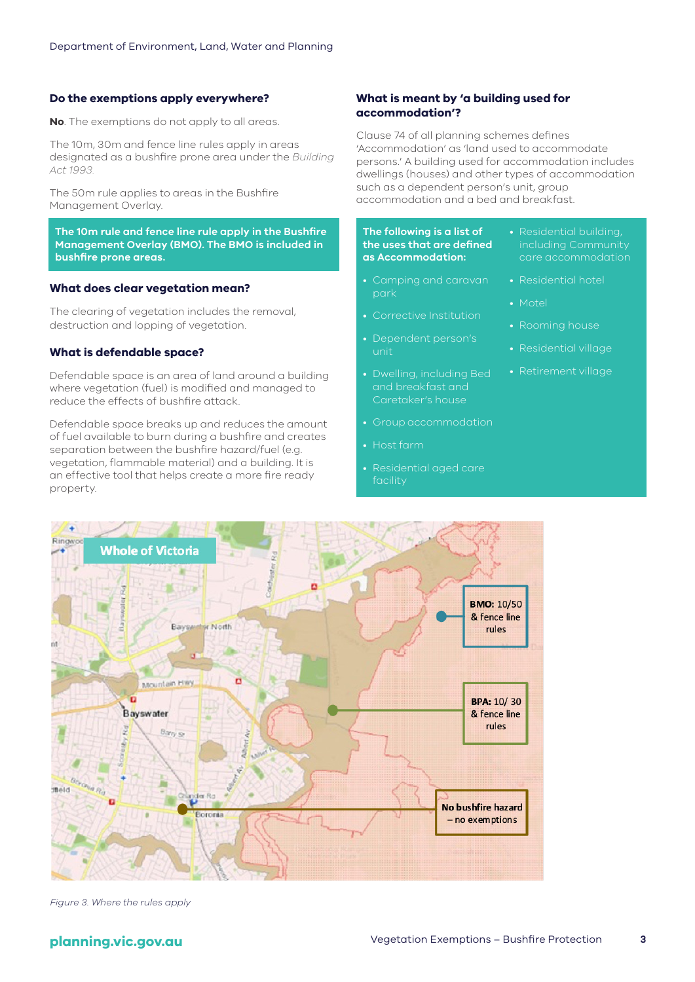#### **Do the exemptions apply everywhere?**

**No**. The exemptions do not apply to all areas.

The 10m, 30m and fence line rules apply in areas designated as a bushfire prone area under the *Building Act 1993.*

The 50m rule applies to areas in the Bushfire Management Overlay.

**The 10m rule and fence line rule apply in the Bushfire Management Overlay (BMO). The BMO is included in bushfire prone areas.**

#### **What does clear vegetation mean?**

The clearing of vegetation includes the removal, destruction and lopping of vegetation.

#### **What is defendable space?**

Defendable space is an area of land around a building where vegetation (fuel) is modified and managed to reduce the effects of bushfire attack.

Defendable space breaks up and reduces the amount of fuel available to burn during a bushfire and creates separation between the bushfire hazard/fuel (e.g. vegetation, flammable material) and a building. It is an effective tool that helps create a more fire ready property.

#### **What is meant by 'a building used for accommodation'?**

Clause 74 of all planning schemes defines 'Accommodation' as 'land used to accommodate persons.' A building used for accommodation includes dwellings (houses) and other types of accommodation such as a dependent person's unit, group accommodation and a bed and breakfast.

#### **The following is a list of the uses that are defined as Accommodation:**

- Camping and caravan park
- Corrective Institution
- Dependent person's unit
- Dwelling, including Bed and breakfast and Caretaker's house
- Group accommodation
- Host farm
- Residential aged care facility



*Figure 3. Where the rules apply*

- Residential building, including Community care accommodation
- Residential hotel
- Motel
- Rooming house
- Residential village
- Retirement village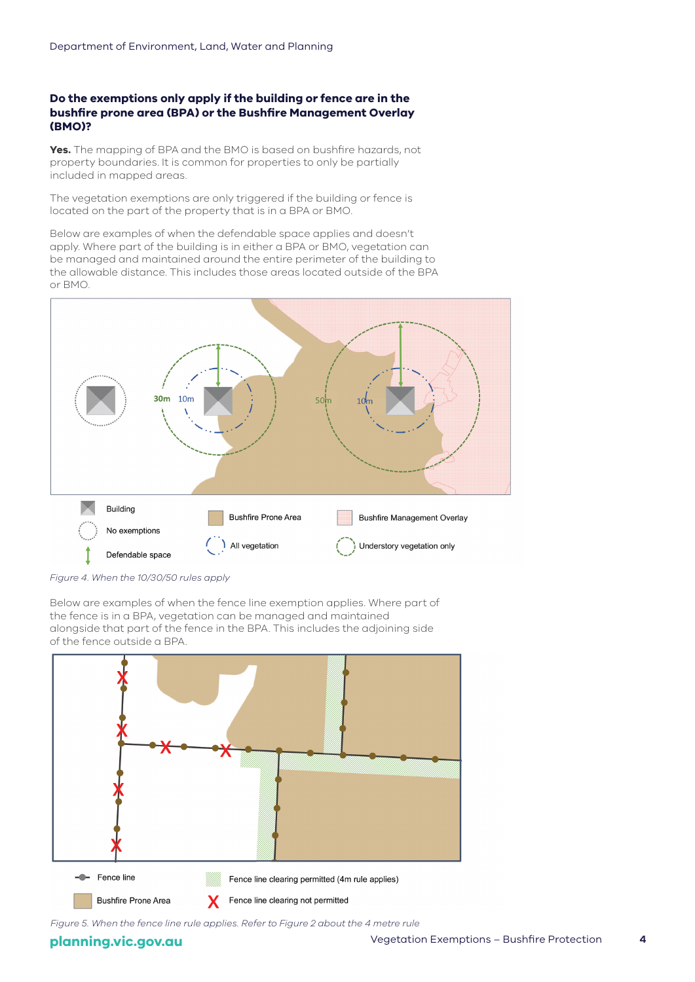# **Do the exemptions only apply if the building or fence are in the bushfire prone area (BPA) or the Bushfire Management Overlay (BMO)?**

**Yes.** The mapping of BPA and the BMO is based on bushfire hazards, not property boundaries. It is common for properties to only be partially included in mapped areas.

The vegetation exemptions are only triggered if the building or fence is located on the part of the property that is in a BPA or BMO.

Below are examples of when the defendable space applies and doesn't apply. Where part of the building is in either a BPA or BMO, vegetation can be managed and maintained around the entire perimeter of the building to the allowable distance. This includes those areas located outside of the BPA or BMO.





Below are examples of when the fence line exemption applies. Where part of the fence is in a BPA, vegetation can be managed and maintained alongside that part of the fence in the BPA. This includes the adjoining side of the fence outside a BPA.



*Figure 5. When the fence line rule applies. Refer to Figure 2 about the 4 metre rule*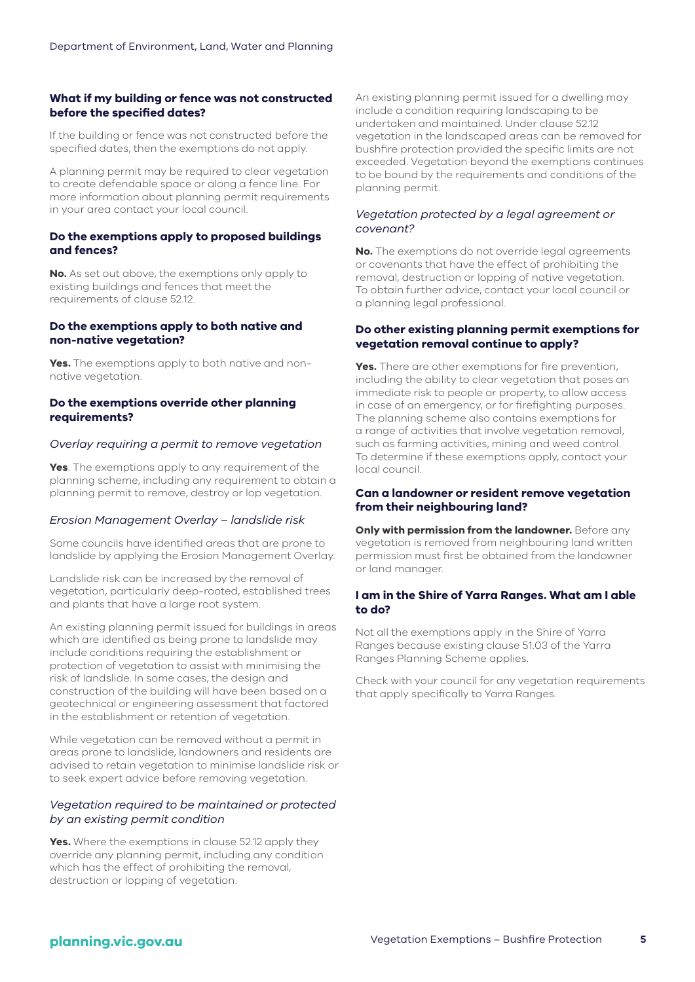# **What if my building or fence was not constructed before the specified dates?**

If the building or fence was not constructed before the specified dates, then the exemptions do not apply.

A planning permit may be required to clear vegetation to create defendable space or along a fence line. For more information about planning permit requirements in your area contact your local council.

# **Do the exemptions apply to proposed buildings and fences?**

**No.** As set out above, the exemptions only apply to existing buildings and fences that meet the requirements of clause 52.12.

## **Do the exemptions apply to both native and non-native vegetation?**

**Yes.** The exemptions apply to both native and nonnative vegetation.

# **Do the exemptions override other planning requirements?**

#### *Overlay requiring a permit to remove vegetation*

**Yes**. The exemptions apply to any requirement of the planning scheme, including any requirement to obtain a planning permit to remove, destroy or lop vegetation.

#### *Erosion Management Overlay – landslide risk*

Some councils have identified areas that are prone to landslide by applying the Erosion Management Overlay.

Landslide risk can be increased by the removal of vegetation, particularly deep-rooted, established trees and plants that have a large root system.

An existing planning permit issued for buildings in areas which are identified as being prone to landslide may include conditions requiring the establishment or protection of vegetation to assist with minimising the risk of landslide. In some cases, the design and construction of the building will have been based on a geotechnical or engineering assessment that factored in the establishment or retention of vegetation.

While vegetation can be removed without a permit in areas prone to landslide, landowners and residents are advised to retain vegetation to minimise landslide risk or to seek expert advice before removing vegetation.

## *Vegetation required to be maintained or protected by an existing permit condition*

**Yes.** Where the exemptions in clause 52.12 apply they override any planning permit, including any condition which has the effect of prohibiting the removal, destruction or lopping of vegetation.

An existing planning permit issued for a dwelling may include a condition requiring landscaping to be undertaken and maintained. Under clause 52.12 vegetation in the landscaped areas can be removed for bushfire protection provided the specific limits are not exceeded. Vegetation beyond the exemptions continues to be bound by the requirements and conditions of the planning permit.

#### *Vegetation protected by a legal agreement or covenant?*

**No.** The exemptions do not override legal agreements or covenants that have the effect of prohibiting the removal, destruction or lopping of native vegetation. To obtain further advice, contact your local council or a planning legal professional.

## **Do other existing planning permit exemptions for vegetation removal continue to apply?**

**Yes.** There are other exemptions for fire prevention, including the ability to clear vegetation that poses an immediate risk to people or property, to allow access in case of an emergency, or for firefighting purposes. The planning scheme also contains exemptions for a range of activities that involve vegetation removal, such as farming activities, mining and weed control. To determine if these exemptions apply, contact your local council.

#### **Can a landowner or resident remove vegetation from their neighbouring land?**

**Only with permission from the landowner.** Before any vegetation is removed from neighbouring land written permission must first be obtained from the landowner or land manager.

#### **I am in the Shire of Yarra Ranges. What am I able to do?**

Not all the exemptions apply in the Shire of Yarra Ranges because existing clause 51.03 of the Yarra Ranges Planning Scheme applies.

Check with your council for any vegetation requirements that apply specifically to Yarra Ranges.